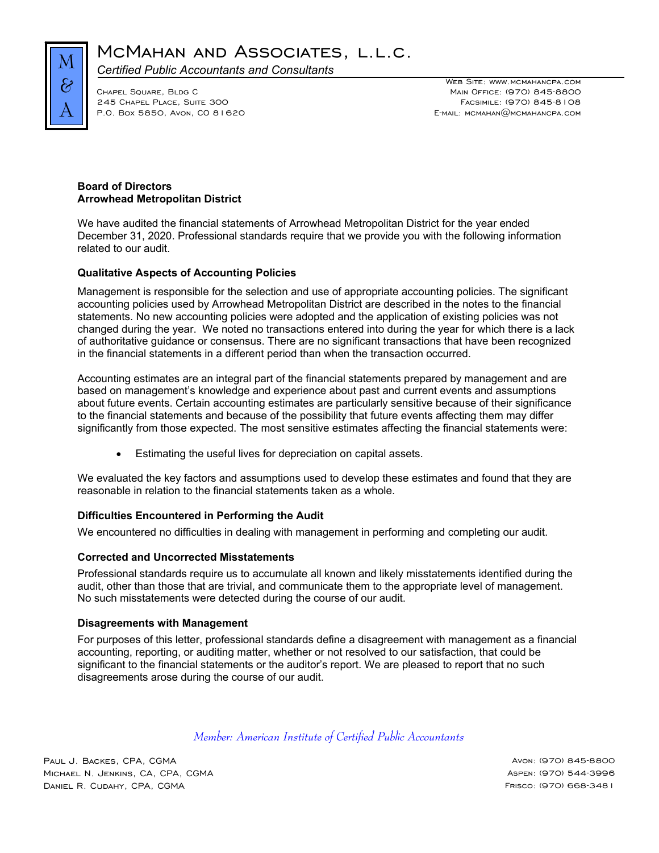

MCMAHAN AND ASSOCIATES, L.L.C.

*Certified Public Accountants and Consultants* 

245 CHAPEL PLACE, SUITE 300

Web Site: www.mcmahancpa.com Main Office: (970) 845-8800<br>Facsimile: (970) 845-8108 P.O. Box 5850, Avon, CO 81620 E-mail: mcmahan@mcmahancpa.com

# **Board of Directors Arrowhead Metropolitan District**

We have audited the financial statements of Arrowhead Metropolitan District for the year ended December 31, 2020. Professional standards require that we provide you with the following information related to our audit.

# **Qualitative Aspects of Accounting Policies**

Management is responsible for the selection and use of appropriate accounting policies. The significant accounting policies used by Arrowhead Metropolitan District are described in the notes to the financial statements. No new accounting policies were adopted and the application of existing policies was not changed during the year. We noted no transactions entered into during the year for which there is a lack of authoritative guidance or consensus. There are no significant transactions that have been recognized in the financial statements in a different period than when the transaction occurred.

Accounting estimates are an integral part of the financial statements prepared by management and are based on management's knowledge and experience about past and current events and assumptions about future events. Certain accounting estimates are particularly sensitive because of their significance to the financial statements and because of the possibility that future events affecting them may differ significantly from those expected. The most sensitive estimates affecting the financial statements were:

Estimating the useful lives for depreciation on capital assets.

We evaluated the key factors and assumptions used to develop these estimates and found that they are reasonable in relation to the financial statements taken as a whole.

### **Difficulties Encountered in Performing the Audit**

We encountered no difficulties in dealing with management in performing and completing our audit.

#### **Corrected and Uncorrected Misstatements**

Professional standards require us to accumulate all known and likely misstatements identified during the audit, other than those that are trivial, and communicate them to the appropriate level of management. No such misstatements were detected during the course of our audit.

#### **Disagreements with Management**

For purposes of this letter, professional standards define a disagreement with management as a financial accounting, reporting, or auditing matter, whether or not resolved to our satisfaction, that could be significant to the financial statements or the auditor's report. We are pleased to report that no such disagreements arose during the course of our audit.

# *Member: American Institute of Certified Public Accountants*

Paul J. Backes, CPA, CGMA Avon: (970) 845-8800 MICHAEL N. JENKINS, CA, CPA, CGMA Aspen: (970) 544-3996 Daniel R. Cudahy, CPA, CGMA Frisco: (970) 668-3481